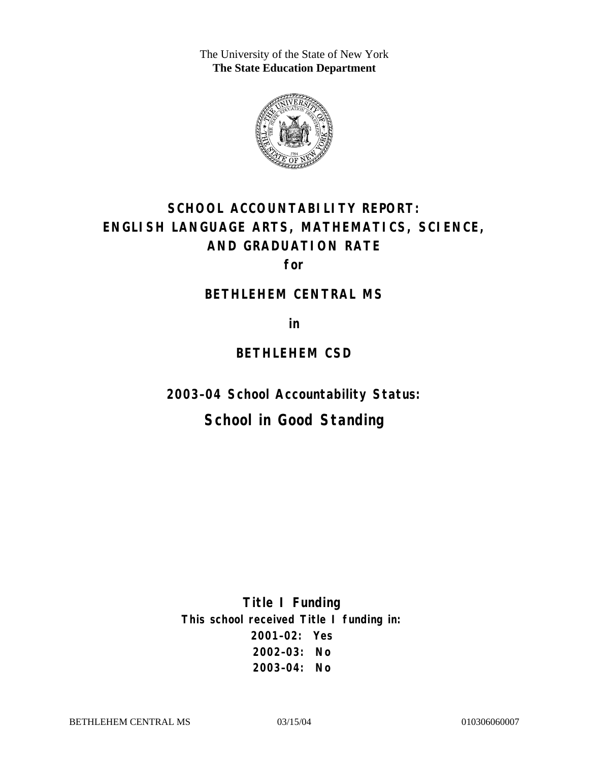The University of the State of New York **The State Education Department** 



# **SCHOOL ACCOUNTABILITY REPORT: ENGLISH LANGUAGE ARTS, MATHEMATICS, SCIENCE, AND GRADUATION RATE**

**for** 

#### **BETHLEHEM CENTRAL MS**

**in** 

### **BETHLEHEM CSD**

**2003–04 School Accountability Status:** 

## **School in Good Standing**

**Title I Funding This school received Title I funding in: 2001–02: Yes 2002–03: No 2003–04: No**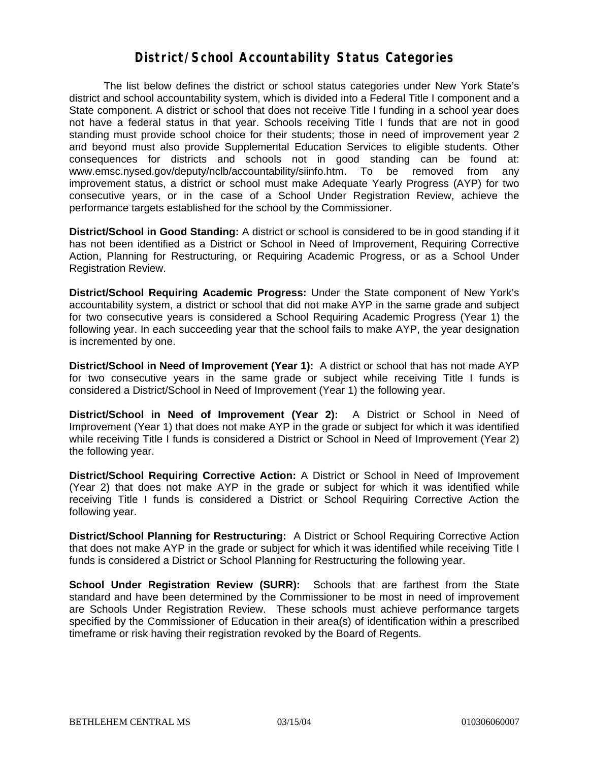### **District/School Accountability Status Categories**

The list below defines the district or school status categories under New York State's district and school accountability system, which is divided into a Federal Title I component and a State component. A district or school that does not receive Title I funding in a school year does not have a federal status in that year. Schools receiving Title I funds that are not in good standing must provide school choice for their students; those in need of improvement year 2 and beyond must also provide Supplemental Education Services to eligible students. Other consequences for districts and schools not in good standing can be found at: www.emsc.nysed.gov/deputy/nclb/accountability/siinfo.htm. To be removed from any improvement status, a district or school must make Adequate Yearly Progress (AYP) for two consecutive years, or in the case of a School Under Registration Review, achieve the performance targets established for the school by the Commissioner.

**District/School in Good Standing:** A district or school is considered to be in good standing if it has not been identified as a District or School in Need of Improvement, Requiring Corrective Action, Planning for Restructuring, or Requiring Academic Progress, or as a School Under Registration Review.

**District/School Requiring Academic Progress:** Under the State component of New York's accountability system, a district or school that did not make AYP in the same grade and subject for two consecutive years is considered a School Requiring Academic Progress (Year 1) the following year. In each succeeding year that the school fails to make AYP, the year designation is incremented by one.

**District/School in Need of Improvement (Year 1):** A district or school that has not made AYP for two consecutive years in the same grade or subject while receiving Title I funds is considered a District/School in Need of Improvement (Year 1) the following year.

**District/School in Need of Improvement (Year 2):** A District or School in Need of Improvement (Year 1) that does not make AYP in the grade or subject for which it was identified while receiving Title I funds is considered a District or School in Need of Improvement (Year 2) the following year.

**District/School Requiring Corrective Action:** A District or School in Need of Improvement (Year 2) that does not make AYP in the grade or subject for which it was identified while receiving Title I funds is considered a District or School Requiring Corrective Action the following year.

**District/School Planning for Restructuring:** A District or School Requiring Corrective Action that does not make AYP in the grade or subject for which it was identified while receiving Title I funds is considered a District or School Planning for Restructuring the following year.

**School Under Registration Review (SURR):** Schools that are farthest from the State standard and have been determined by the Commissioner to be most in need of improvement are Schools Under Registration Review. These schools must achieve performance targets specified by the Commissioner of Education in their area(s) of identification within a prescribed timeframe or risk having their registration revoked by the Board of Regents.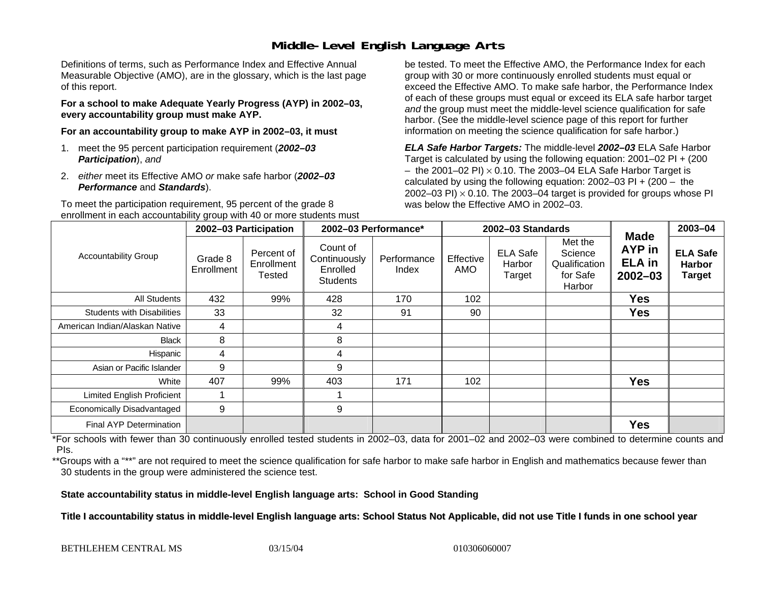## **Middle-Level English Language Arts**

Definitions of terms, such as Performance Index and Effective Annual Measurable Objective (AMO), are in the glossary, which is the last page of this report.

**For a school to make Adequate Yearly Progress (AYP) in 2002–03, every accountability group must make AYP.** 

**For an accountability group to make AYP in 2002–03, it must** 

- 1. meet the 95 percent participation requirement (*2002–03 Participation*), *and*
- 2. *either* meet its Effective AMO *or* make safe harbor (*2002–03 Performance* and *Standards*).

To meet the participation requirement, 95 percent of the grade 8 enrollment in each accountability group with 40 or more students must

be tested. To meet the Effective AMO, the Performance Index for each group with 30 or more continuously enrolled students must equal or exceed the Effective AMO. To make safe harbor, the Performance Index of each of these groups must equal or exceed its ELA safe harbor target *and* the group must meet the middle-level science qualification for safe harbor. (See the middle-level science page of this report for further information on meeting the science qualification for safe harbor.)

*ELA Safe Harbor Targets:* The middle-level *2002–03* ELA Safe Harbor Target is calculated by using the following equation: 2001–02 PI + (200  $-$  the 2001–02 PI)  $\times$  0.10. The 2003–04 ELA Safe Harbor Target is  $\,$ calculated by using the following equation:  $2002-03$  PI +  $(200 -$  the 2002–03 PI)  $\times$  0.10. The 2003–04 target is provided for groups whose PI was below the Effective AMO in 2002–03.

| <b>Accountability Group</b>       | 2002-03 Participation |                                    | 2002-03 Performance*                                    |                      | 2002-03 Standards |                                     |                                                           |                                                       | 2003-04                                    |
|-----------------------------------|-----------------------|------------------------------------|---------------------------------------------------------|----------------------|-------------------|-------------------------------------|-----------------------------------------------------------|-------------------------------------------------------|--------------------------------------------|
|                                   | Grade 8<br>Enrollment | Percent of<br>Enrollment<br>Tested | Count of<br>Continuously<br>Enrolled<br><b>Students</b> | Performance<br>Index | Effective<br>AMO  | <b>ELA Safe</b><br>Harbor<br>Target | Met the<br>Science<br>Qualification<br>for Safe<br>Harbor | <b>Made</b><br>AYP in<br><b>ELA</b> in<br>$2002 - 03$ | <b>ELA Safe</b><br><b>Harbor</b><br>Target |
| <b>All Students</b>               | 432                   | 99%                                | 428                                                     | 170                  | 102               |                                     |                                                           | <b>Yes</b>                                            |                                            |
| <b>Students with Disabilities</b> | 33                    |                                    | 32                                                      | 91                   | 90                |                                     |                                                           | <b>Yes</b>                                            |                                            |
| American Indian/Alaskan Native    | 4                     |                                    | 4                                                       |                      |                   |                                     |                                                           |                                                       |                                            |
| <b>Black</b>                      | 8                     |                                    | 8                                                       |                      |                   |                                     |                                                           |                                                       |                                            |
| Hispanic                          | 4                     |                                    | 4                                                       |                      |                   |                                     |                                                           |                                                       |                                            |
| Asian or Pacific Islander         | 9                     |                                    | 9                                                       |                      |                   |                                     |                                                           |                                                       |                                            |
| White                             | 407                   | 99%                                | 403                                                     | 171                  | 102               |                                     |                                                           | <b>Yes</b>                                            |                                            |
| <b>Limited English Proficient</b> |                       |                                    |                                                         |                      |                   |                                     |                                                           |                                                       |                                            |
| Economically Disadvantaged        | 9                     |                                    | 9                                                       |                      |                   |                                     |                                                           |                                                       |                                            |
| <b>Final AYP Determination</b>    |                       |                                    |                                                         |                      |                   |                                     |                                                           | <b>Yes</b>                                            |                                            |

\*For schools with fewer than 30 continuously enrolled tested students in 2002–03, data for 2001–02 and 2002–03 were combined to determine counts and PIs.

\*\*Groups with a "\*\*" are not required to meet the science qualification for safe harbor to make safe harbor in English and mathematics because fewer than 30 students in the group were administered the science test.

**State accountability status in middle-level English language arts: School in Good Standing** 

Title I accountability status in middle-level English language arts: School Status Not Applicable, did not use Title I funds in one school year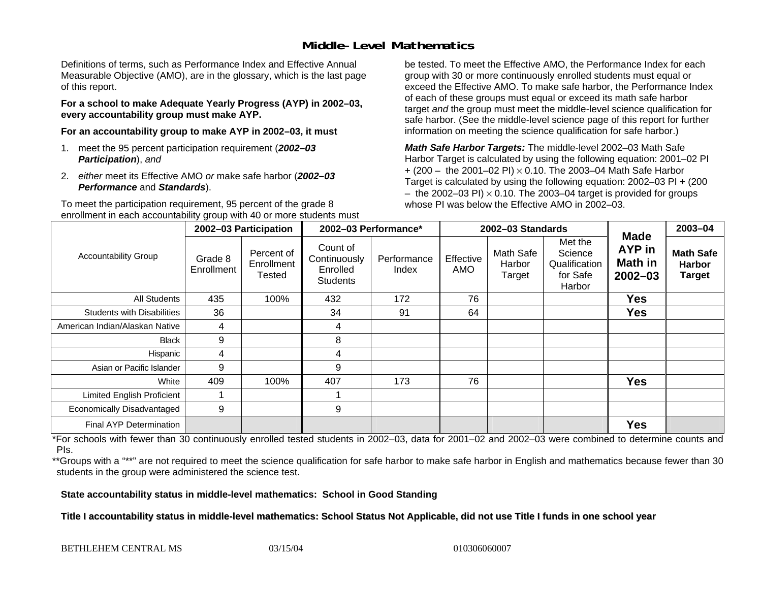## **Middle-Level Mathematics**

Definitions of terms, such as Performance Index and Effective Annual Measurable Objective (AMO), are in the glossary, which is the last page of this report.

**For a school to make Adequate Yearly Progress (AYP) in 2002–03, every accountability group must make AYP.** 

**For an accountability group to make AYP in 2002–03, it must** 

- 1. meet the 95 percent participation requirement (*2002–03 Participation*), *and*
- 2. *either* meet its Effective AMO *or* make safe harbor (*2002–03 Performance* and *Standards*).

To meet the participation requirement, 95 percent of the grade 8 enrollment in each accountability group with 40 or more students must

be tested. To meet the Effective AMO, the Performance Index for each group with 30 or more continuously enrolled students must equal or exceed the Effective AMO. To make safe harbor, the Performance Index of each of these groups must equal or exceed its math safe harbor target *and* the group must meet the middle-level science qualification for safe harbor. (See the middle-level science page of this report for further information on meeting the science qualification for safe harbor.)

*Math Safe Harbor Targets:* The middle-level 2002–03 Math Safe Harbor Target is calculated by using the following equation: 2001–02 PI + (200 – the 2001–02 PI) × 0.10. The 2003–04 Math Safe Harbor Target is calculated by using the following equation: 2002–03 PI + (200  $-$  the 2002–03 PI)  $\times$  0.10. The 2003–04 target is provided for groups whose PI was below the Effective AMO in 2002–03

| <b>Accountability Group</b>       | 2002-03 Participation |                                    | 2002-03 Performance*                                    |                      | 2002-03 Standards |                                      |                                                           |                                                        | 2003-04                                            |
|-----------------------------------|-----------------------|------------------------------------|---------------------------------------------------------|----------------------|-------------------|--------------------------------------|-----------------------------------------------------------|--------------------------------------------------------|----------------------------------------------------|
|                                   | Grade 8<br>Enrollment | Percent of<br>Enrollment<br>Tested | Count of<br>Continuously<br>Enrolled<br><b>Students</b> | Performance<br>Index | Effective<br>AMO  | <b>Math Safe</b><br>Harbor<br>Target | Met the<br>Science<br>Qualification<br>for Safe<br>Harbor | <b>Made</b><br>AYP in<br><b>Math in</b><br>$2002 - 03$ | <b>Math Safe</b><br><b>Harbor</b><br><b>Target</b> |
| <b>All Students</b>               | 435                   | 100%                               | 432                                                     | 172                  | 76                |                                      |                                                           | <b>Yes</b>                                             |                                                    |
| <b>Students with Disabilities</b> | 36                    |                                    | 34                                                      | 91                   | 64                |                                      |                                                           | <b>Yes</b>                                             |                                                    |
| American Indian/Alaskan Native    | 4                     |                                    | 4                                                       |                      |                   |                                      |                                                           |                                                        |                                                    |
| <b>Black</b>                      | 9                     |                                    | 8                                                       |                      |                   |                                      |                                                           |                                                        |                                                    |
| Hispanic                          | 4                     |                                    | 4                                                       |                      |                   |                                      |                                                           |                                                        |                                                    |
| Asian or Pacific Islander         | 9                     |                                    | 9                                                       |                      |                   |                                      |                                                           |                                                        |                                                    |
| White                             | 409                   | 100%                               | 407                                                     | 173                  | 76                |                                      |                                                           | <b>Yes</b>                                             |                                                    |
| <b>Limited English Proficient</b> |                       |                                    |                                                         |                      |                   |                                      |                                                           |                                                        |                                                    |
| Economically Disadvantaged        | 9                     |                                    | 9                                                       |                      |                   |                                      |                                                           |                                                        |                                                    |
| <b>Final AYP Determination</b>    |                       |                                    |                                                         |                      |                   |                                      |                                                           | <b>Yes</b>                                             |                                                    |

\*For schools with fewer than 30 continuously enrolled tested students in 2002–03, data for 2001–02 and 2002–03 were combined to determine counts and PIs.

\*\*Groups with a "\*\*" are not required to meet the science qualification for safe harbor to make safe harbor in English and mathematics because fewer than 30 students in the group were administered the science test.

**State accountability status in middle-level mathematics: School in Good Standing** 

Title I accountability status in middle-level mathematics: School Status Not Applicable, did not use Title I funds in one school year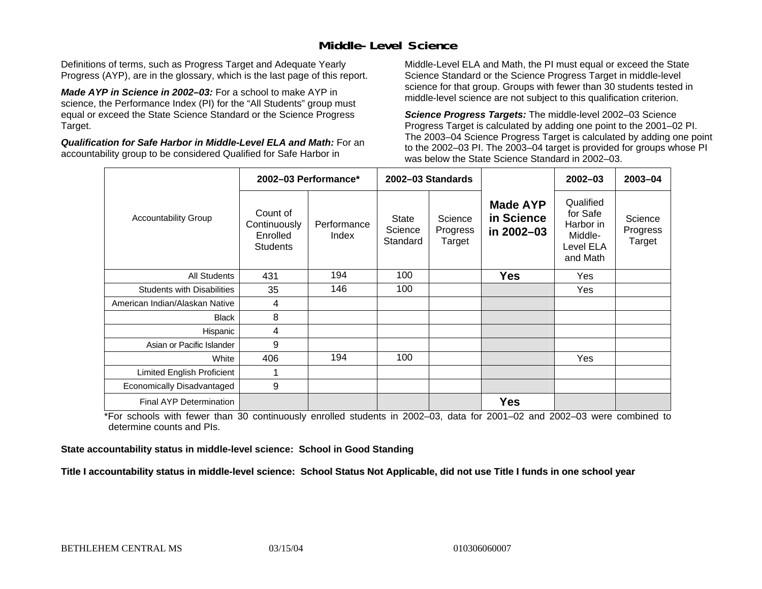## **Middle-Level Science**

Definitions of terms, such as Progress Target and Adequate Yearly Progress (AYP), are in the glossary, which is the last page of this report.

*Made AYP in Science in 2002–03:* For a school to make AYP in science, the Performance Index (PI) for the "All Students" group must equal or exceed the State Science Standard or the Science Progress Target.

*Qualification for Safe Harbor in Middle-Level ELA and Math:* For an accountability group to be considered Qualified for Safe Harbor in

Middle-Level ELA and Math, the PI must equal or exceed the State Science Standard or the Science Progress Target in middle-level science for that group. Groups with fewer than 30 students tested in middle-level science are not subject to this qualification criterion.

*Science Progress Targets:* The middle-level 2002–03 Science Progress Target is calculated by adding one point to the 2001–02 PI. The 2003–04 Science Progress Target is calculated by adding one point to the 2002–03 PI. The 2003–04 target is provided for groups whose PI was below the State Science Standard in 2002–03.

|                                   |                                                         | 2002-03 Performance* |                              | 2002-03 Standards             |                                             | $2002 - 03$                                                            | $2003 - 04$                   |
|-----------------------------------|---------------------------------------------------------|----------------------|------------------------------|-------------------------------|---------------------------------------------|------------------------------------------------------------------------|-------------------------------|
| <b>Accountability Group</b>       | Count of<br>Continuously<br>Enrolled<br><b>Students</b> | Performance<br>Index | State<br>Science<br>Standard | Science<br>Progress<br>Target | <b>Made AYP</b><br>in Science<br>in 2002-03 | Qualified<br>for Safe<br>Harbor in<br>Middle-<br>Level ELA<br>and Math | Science<br>Progress<br>Target |
| <b>All Students</b>               | 431                                                     | 194                  | 100                          |                               | <b>Yes</b>                                  | Yes                                                                    |                               |
| <b>Students with Disabilities</b> | 35                                                      | 146                  | 100                          |                               |                                             | Yes                                                                    |                               |
| American Indian/Alaskan Native    | 4                                                       |                      |                              |                               |                                             |                                                                        |                               |
| <b>Black</b>                      | 8                                                       |                      |                              |                               |                                             |                                                                        |                               |
| Hispanic                          | 4                                                       |                      |                              |                               |                                             |                                                                        |                               |
| Asian or Pacific Islander         | 9                                                       |                      |                              |                               |                                             |                                                                        |                               |
| White                             | 406                                                     | 194                  | 100                          |                               |                                             | Yes                                                                    |                               |
| Limited English Proficient        | 1                                                       |                      |                              |                               |                                             |                                                                        |                               |
| Economically Disadvantaged        | 9                                                       |                      |                              |                               |                                             |                                                                        |                               |
| <b>Final AYP Determination</b>    |                                                         |                      |                              |                               | <b>Yes</b>                                  |                                                                        |                               |

\*For schools with fewer than 30 continuously enrolled students in 2002–03, data for 2001–02 and 2002–03 were combined to determine counts and PIs.

**State accountability status in middle-level science: School in Good Standing** 

Title I accountability status in middle-level science: School Status Not Applicable, did not use Title I funds in one school year